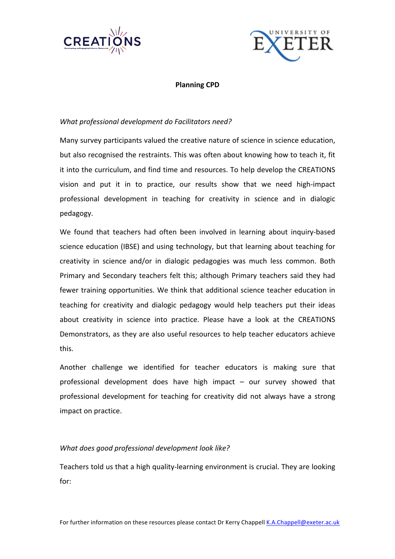



## **Planning CPD**

# What professional development do Facilitators need?

Many survey participants valued the creative nature of science in science education, but also recognised the restraints. This was often about knowing how to teach it, fit it into the curriculum, and find time and resources. To help develop the CREATIONS vision and put it in to practice, our results show that we need high-impact professional development in teaching for creativity in science and in dialogic pedagogy. 

We found that teachers had often been involved in learning about inquiry-based science education (IBSE) and using technology, but that learning about teaching for creativity in science and/or in dialogic pedagogies was much less common. Both Primary and Secondary teachers felt this; although Primary teachers said they had fewer training opportunities. We think that additional science teacher education in teaching for creativity and dialogic pedagogy would help teachers put their ideas about creativity in science into practice. Please have a look at the CREATIONS Demonstrators, as they are also useful resources to help teacher educators achieve this. 

Another challenge we identified for teacher educators is making sure that professional development does have high impact  $-$  our survey showed that professional development for teaching for creativity did not always have a strong impact on practice.

## *What does good professional development look like?*

Teachers told us that a high quality-learning environment is crucial. They are looking for: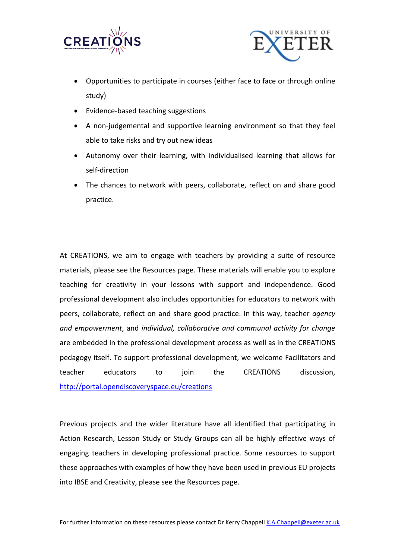



- Opportunities to participate in courses (either face to face or through online study)
- Evidence-based teaching suggestions
- A non-judgemental and supportive learning environment so that they feel able to take risks and try out new ideas
- Autonomy over their learning, with individualised learning that allows for self-direction
- The chances to network with peers, collaborate, reflect on and share good practice.

At CREATIONS, we aim to engage with teachers by providing a suite of resource materials, please see the Resources page. These materials will enable you to explore teaching for creativity in your lessons with support and independence. Good professional development also includes opportunities for educators to network with peers, collaborate, reflect on and share good practice. In this way, teacher *agency* and empowerment, and *individual, collaborative and communal activity for change* are embedded in the professional development process as well as in the CREATIONS pedagogy itself. To support professional development, we welcome Facilitators and teacher educators to join the CREATIONS discussion, http://portal.opendiscoveryspace.eu/creations

Previous projects and the wider literature have all identified that participating in Action Research, Lesson Study or Study Groups can all be highly effective ways of engaging teachers in developing professional practice. Some resources to support these approaches with examples of how they have been used in previous EU projects into IBSE and Creativity, please see the Resources page.